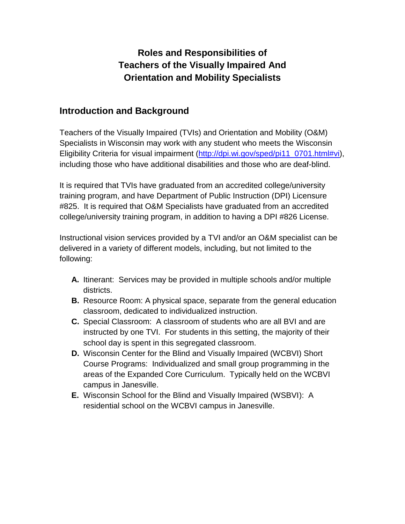# **Roles and Responsibilities of Teachers of the Visually Impaired And Orientation and Mobility Specialists**

## **Introduction and Background**

Teachers of the Visually Impaired (TVIs) and Orientation and Mobility (O&M) Specialists in Wisconsin may work with any student who meets the Wisconsin Eligibility Criteria for visual impairment [\(http://dpi.wi.gov/sped/pi11\\_0701.html#vi\)](http://dpi.wi.gov/sped/pi11_0701.html#vi), including those who have additional disabilities and those who are deaf-blind.

It is required that TVIs have graduated from an accredited college/university training program, and have Department of Public Instruction (DPI) Licensure #825. It is required that O&M Specialists have graduated from an accredited college/university training program, in addition to having a DPI #826 License.

Instructional vision services provided by a TVI and/or an O&M specialist can be delivered in a variety of different models, including, but not limited to the following:

- **A.** Itinerant: Services may be provided in multiple schools and/or multiple districts.
- **B.** Resource Room: A physical space, separate from the general education classroom, dedicated to individualized instruction.
- **C.** Special Classroom: A classroom of students who are all BVI and are instructed by one TVI. For students in this setting, the majority of their school day is spent in this segregated classroom.
- **D.** Wisconsin Center for the Blind and Visually Impaired (WCBVI) Short Course Programs: Individualized and small group programming in the areas of the Expanded Core Curriculum. Typically held on the WCBVI campus in Janesville.
- **E.** Wisconsin School for the Blind and Visually Impaired (WSBVI): A residential school on the WCBVI campus in Janesville.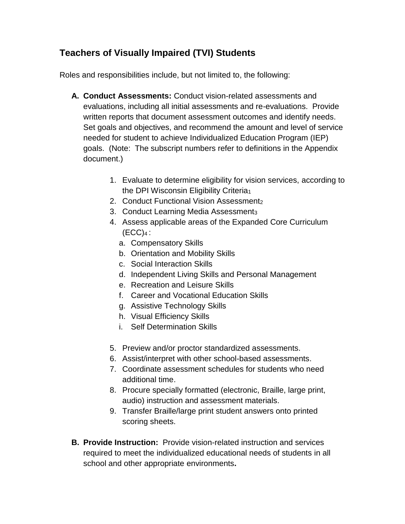## **Teachers of Visually Impaired (TVI) Students**

Roles and responsibilities include, but not limited to, the following:

- **A. Conduct Assessments:** Conduct vision-related assessments and evaluations, including all initial assessments and re-evaluations. Provide written reports that document assessment outcomes and identify needs. Set goals and objectives, and recommend the amount and level of service needed for student to achieve Individualized Education Program (IEP) goals. (Note: The subscript numbers refer to definitions in the Appendix document.)
	- 1. Evaluate to determine eligibility for vision services, according to the DPI Wisconsin Eligibility Criteria<sup>1</sup>
	- 2. Conduct Functional Vision Assessment<sub>2</sub>
	- 3. Conduct Learning Media Assessment<sub>3</sub>
	- 4. Assess applicable areas of the Expanded Core Curriculum  $(ECC)<sub>4</sub>$ :
		- a. Compensatory Skills
		- b. Orientation and Mobility Skills
		- c. Social Interaction Skills
		- d. Independent Living Skills and Personal Management
		- e. Recreation and Leisure Skills
		- f. Career and Vocational Education Skills
		- g. Assistive Technology Skills
		- h. Visual Efficiency Skills
		- i. Self Determination Skills
	- 5. Preview and/or proctor standardized assessments.
	- 6. Assist/interpret with other school-based assessments.
	- 7. Coordinate assessment schedules for students who need additional time.
	- 8. Procure specially formatted (electronic, Braille, large print, audio) instruction and assessment materials.
	- 9. Transfer Braille/large print student answers onto printed scoring sheets.
- **B. Provide Instruction:** Provide vision-related instruction and services required to meet the individualized educational needs of students in all school and other appropriate environments**.**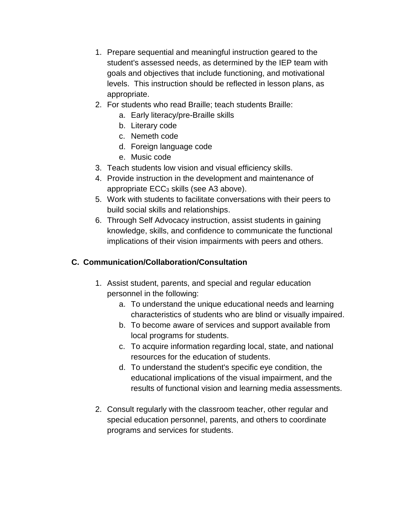- 1. Prepare sequential and meaningful instruction geared to the student's assessed needs, as determined by the IEP team with goals and objectives that include functioning, and motivational levels. This instruction should be reflected in lesson plans, as appropriate.
- 2. For students who read Braille; teach students Braille:
	- a. Early literacy/pre-Braille skills
	- b. Literary code
	- c. Nemeth code
	- d. Foreign language code
	- e. Music code
- 3. Teach students low vision and visual efficiency skills.
- 4. Provide instruction in the development and maintenance of appropriate ECC<sup>3</sup> skills (see A3 above).
- 5. Work with students to facilitate conversations with their peers to build social skills and relationships.
- 6. Through Self Advocacy instruction, assist students in gaining knowledge, skills, and confidence to communicate the functional implications of their vision impairments with peers and others.

### **C. Communication/Collaboration/Consultation**

- 1. Assist student, parents, and special and regular education personnel in the following:
	- a. To understand the unique educational needs and learning characteristics of students who are blind or visually impaired.
	- b. To become aware of services and support available from local programs for students.
	- c. To acquire information regarding local, state, and national resources for the education of students.
	- d. To understand the student's specific eye condition, the educational implications of the visual impairment, and the results of functional vision and learning media assessments.
- 2. Consult regularly with the classroom teacher, other regular and special education personnel, parents, and others to coordinate programs and services for students.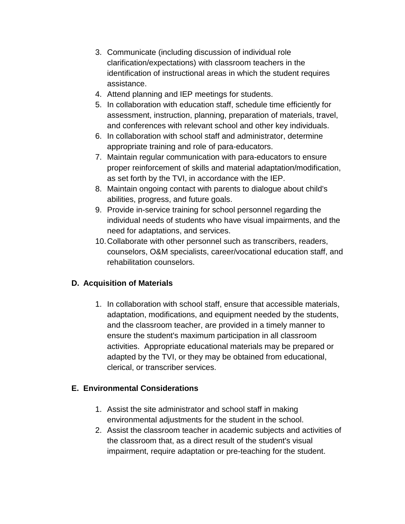- 3. Communicate (including discussion of individual role clarification/expectations) with classroom teachers in the identification of instructional areas in which the student requires assistance.
- 4. Attend planning and IEP meetings for students.
- 5. In collaboration with education staff, schedule time efficiently for assessment, instruction, planning, preparation of materials, travel, and conferences with relevant school and other key individuals.
- 6. In collaboration with school staff and administrator, determine appropriate training and role of para-educators.
- 7. Maintain regular communication with para-educators to ensure proper reinforcement of skills and material adaptation/modification, as set forth by the TVI, in accordance with the IEP.
- 8. Maintain ongoing contact with parents to dialogue about child's abilities, progress, and future goals.
- 9. Provide in-service training for school personnel regarding the individual needs of students who have visual impairments, and the need for adaptations, and services.
- 10.Collaborate with other personnel such as transcribers, readers, counselors, O&M specialists, career/vocational education staff, and rehabilitation counselors.

### **D. Acquisition of Materials**

1. In collaboration with school staff, ensure that accessible materials, adaptation, modifications, and equipment needed by the students, and the classroom teacher, are provided in a timely manner to ensure the student's maximum participation in all classroom activities. Appropriate educational materials may be prepared or adapted by the TVI, or they may be obtained from educational, clerical, or transcriber services.

### **E. Environmental Considerations**

- 1. Assist the site administrator and school staff in making environmental adjustments for the student in the school.
- 2. Assist the classroom teacher in academic subjects and activities of the classroom that, as a direct result of the student's visual impairment, require adaptation or pre-teaching for the student.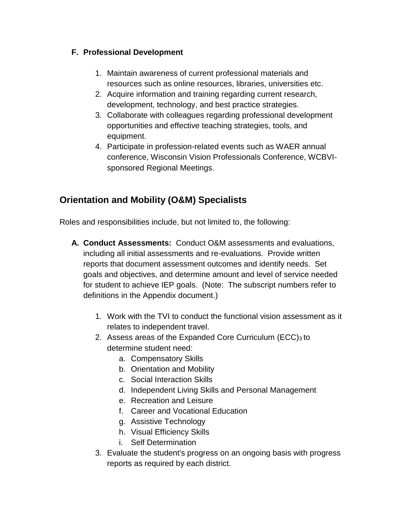#### **F. Professional Development**

- 1. Maintain awareness of current professional materials and resources such as online resources, libraries, universities etc.
- 2. Acquire information and training regarding current research, development, technology, and best practice strategies.
- 3. Collaborate with colleagues regarding professional development opportunities and effective teaching strategies, tools, and equipment.
- 4. Participate in profession-related events such as WAER annual conference, Wisconsin Vision Professionals Conference, WCBVIsponsored Regional Meetings.

## **Orientation and Mobility (O&M) Specialists**

Roles and responsibilities include, but not limited to, the following:

- **A. Conduct Assessments:** Conduct O&M assessments and evaluations, including all initial assessments and re-evaluations. Provide written reports that document assessment outcomes and identify needs. Set goals and objectives, and determine amount and level of service needed for student to achieve IEP goals.(Note: The subscript numbers refer to definitions in the Appendix document.)
	- 1. Work with the TVI to conduct the functional vision assessment as it relates to independent travel.
	- 2. Assess areas of the Expanded Core Curriculum (ECC) $_3$  to determine student need:
		- a. Compensatory Skills
		- b. Orientation and Mobility
		- c. Social Interaction Skills
		- d. Independent Living Skills and Personal Management
		- e. Recreation and Leisure
		- f. Career and Vocational Education
		- g. Assistive Technology
		- h. Visual Efficiency Skills
		- i. Self Determination
	- 3. Evaluate the student's progress on an ongoing basis with progress reports as required by each district.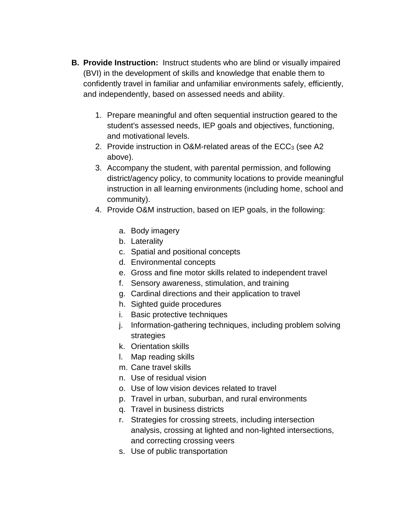- **B. Provide Instruction:** Instruct students who are blind or visually impaired (BVI) in the development of skills and knowledge that enable them to confidently travel in familiar and unfamiliar environments safely, efficiently, and independently, based on assessed needs and ability.
	- 1. Prepare meaningful and often sequential instruction geared to the student's assessed needs, IEP goals and objectives, functioning, and motivational levels.
	- 2. Provide instruction in O&M-related areas of the ECC<sub>3</sub> (see A2) above).
	- 3. Accompany the student, with parental permission, and following district/agency policy, to community locations to provide meaningful instruction in all learning environments (including home, school and community).
	- 4. Provide O&M instruction, based on IEP goals, in the following:
		- a. Body imagery
		- b. Laterality
		- c. Spatial and positional concepts
		- d. Environmental concepts
		- e. Gross and fine motor skills related to independent travel
		- f. Sensory awareness, stimulation, and training
		- g. Cardinal directions and their application to travel
		- h. Sighted guide procedures
		- i. Basic protective techniques
		- j. Information-gathering techniques, including problem solving strategies
		- k. Orientation skills
		- l. Map reading skills
		- m. Cane travel skills
		- n. Use of residual vision
		- o. Use of low vision devices related to travel
		- p. Travel in urban, suburban, and rural environments
		- q. Travel in business districts
		- r. Strategies for crossing streets, including intersection analysis, crossing at lighted and non-lighted intersections, and correcting crossing veers
		- s. Use of public transportation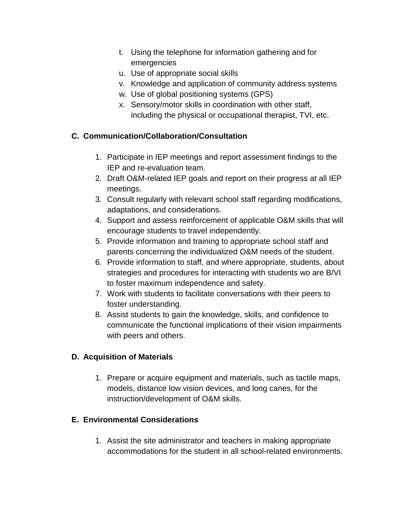- t. Using the telephone for information gathering and for emergencies
- u. Use of appropriate social skills
- v. Knowledge and application of community address systems
- w. Use of global positioning systems (GPS)
- x. Sensory/motor skills in coordination with other staff, including the physical or occupational therapist, TVI, etc.

## **C. Communication/Collaboration/Consultation**

- 1. Participate in IEP meetings and report assessment findings to the IEP and re-evaluation team.
- 2. Draft O&M-related IEP goals and report on their progress at all IEP meetings.
- 3. Consult regularly with relevant school staff regarding modifications, adaptations, and considerations.
- 4. Support and assess reinforcement of applicable O&M skills that will encourage students to travel independently.
- 5. Provide information and training to appropriate school staff and parents concerning the individualized O&M needs of the student.
- 6. Provide information to staff, and where appropriate, students, about strategies and procedures for interacting with students wo are B/VI to foster maximum independence and safety.
- 7. Work with students to facilitate conversations with their peers to foster understanding.
- 8. Assist students to gain the knowledge, skills, and confidence to communicate the functional implications of their vision impairments with peers and others.

### **D. Acquisition of Materials**

1. Prepare or acquire equipment and materials, such as tactile maps, models, distance low vision devices, and long canes, for the instruction/development of O&M skills.

### **E. Environmental Considerations**

1. Assist the site administrator and teachers in making appropriate accommodations for the student in all school-related environments.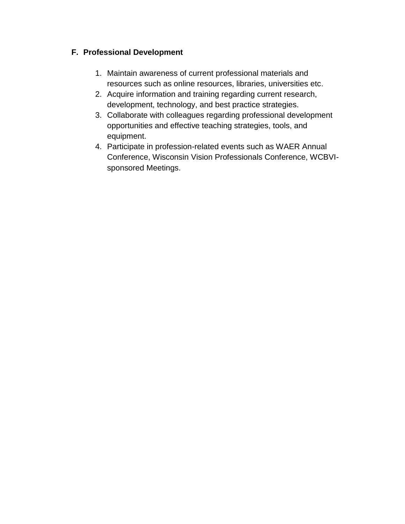### **F. Professional Development**

- 1. Maintain awareness of current professional materials and resources such as online resources, libraries, universities etc.
- 2. Acquire information and training regarding current research, development, technology, and best practice strategies.
- 3. Collaborate with colleagues regarding professional development opportunities and effective teaching strategies, tools, and equipment.
- 4. Participate in profession-related events such as WAER Annual Conference, Wisconsin Vision Professionals Conference, WCBVIsponsored Meetings.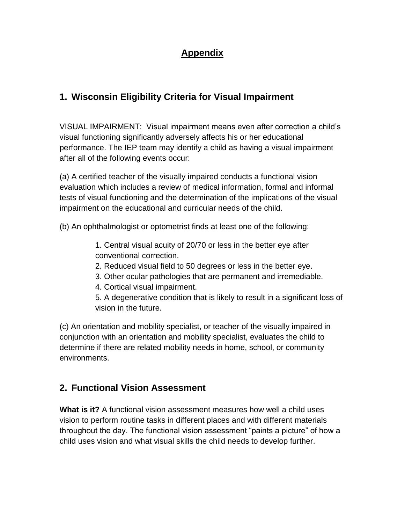## **Appendix**

## **1. Wisconsin Eligibility Criteria for Visual Impairment**

VISUAL IMPAIRMENT: Visual impairment means even after correction a child's visual functioning significantly adversely affects his or her educational performance. The IEP team may identify a child as having a visual impairment after all of the following events occur:

(a) A certified teacher of the visually impaired conducts a functional vision evaluation which includes a review of medical information, formal and informal tests of visual functioning and the determination of the implications of the visual impairment on the educational and curricular needs of the child.

(b) An ophthalmologist or optometrist finds at least one of the following:

1. Central visual acuity of 20/70 or less in the better eye after conventional correction.

- 2. Reduced visual field to 50 degrees or less in the better eye.
- 3. Other ocular pathologies that are permanent and irremediable.
- 4. Cortical visual impairment.

5. A degenerative condition that is likely to result in a significant loss of vision in the future.

(c) An orientation and mobility specialist, or teacher of the visually impaired in conjunction with an orientation and mobility specialist, evaluates the child to determine if there are related mobility needs in home, school, or community environments.

## **2. Functional Vision Assessment**

**What is it?** A functional vision assessment measures how well a child uses vision to perform routine tasks in different places and with different materials throughout the day. The functional vision assessment "paints a picture" of how a child uses vision and what visual skills the child needs to develop further.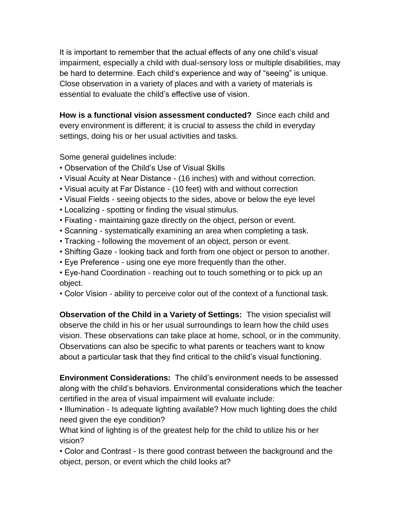It is important to remember that the actual effects of any one child's visual impairment, especially a child with dual-sensory loss or multiple disabilities, may be hard to determine. Each child's experience and way of "seeing" is unique. Close observation in a variety of places and with a variety of materials is essential to evaluate the child's effective use of vision.

**How is a functional vision assessment conducted?** Since each child and every environment is different; it is crucial to assess the child in everyday settings, doing his or her usual activities and tasks.

Some general guidelines include:

- Observation of the Child's Use of Visual Skills
- Visual Acuity at Near Distance (16 inches) with and without correction.
- Visual acuity at Far Distance (10 feet) with and without correction
- Visual Fields seeing objects to the sides, above or below the eye level
- Localizing spotting or finding the visual stimulus.
- Fixating maintaining gaze directly on the object, person or event.
- Scanning systematically examining an area when completing a task.
- Tracking following the movement of an object, person or event.
- Shifting Gaze looking back and forth from one object or person to another.
- Eye Preference using one eye more frequently than the other.
- Eye-hand Coordination reaching out to touch something or to pick up an object.
- Color Vision ability to perceive color out of the context of a functional task.

**Observation of the Child in a Variety of Settings:** The vision specialist will observe the child in his or her usual surroundings to learn how the child uses vision. These observations can take place at home, school, or in the community. Observations can also be specific to what parents or teachers want to know about a particular task that they find critical to the child's visual functioning.

**Environment Considerations:** The child's environment needs to be assessed along with the child's behaviors. Environmental considerations which the teacher certified in the area of visual impairment will evaluate include:

• Illumination - Is adequate lighting available? How much lighting does the child need given the eye condition?

What kind of lighting is of the greatest help for the child to utilize his or her vision?

• Color and Contrast - Is there good contrast between the background and the object, person, or event which the child looks at?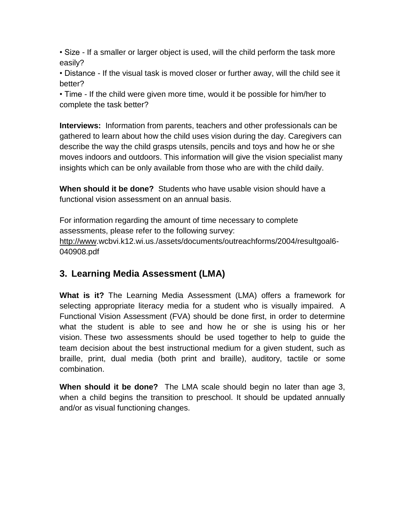• Size - If a smaller or larger object is used, will the child perform the task more easily?

• Distance - If the visual task is moved closer or further away, will the child see it better?

• Time - If the child were given more time, would it be possible for him/her to complete the task better?

**Interviews:** Information from parents, teachers and other professionals can be gathered to learn about how the child uses vision during the day. Caregivers can describe the way the child grasps utensils, pencils and toys and how he or she moves indoors and outdoors. This information will give the vision specialist many insights which can be only available from those who are with the child daily.

**When should it be done?** Students who have usable vision should have a functional vision assessment on an annual basis.

For information regarding the amount of time necessary to complete assessments, please refer to the following survey: [http://www.](http://www/)wcbvi.k12.wi.us./assets/documents/outreachforms/2004/resultgoal6- 040908.pdf

# **3. Learning Media Assessment (LMA)**

**What is it?** The Learning Media Assessment (LMA) offers a framework for selecting appropriate literacy media for a student who is visually impaired. A Functional Vision Assessment (FVA) should be done first, in order to determine what the student is able to see and how he or she is using his or her vision. These two assessments should be used together to help to guide the team decision about the best instructional medium for a given student, such as braille, print, dual media (both print and braille), auditory, tactile or some combination.

**When should it be done?** The LMA scale should begin no later than age 3, when a child begins the transition to preschool. It should be updated annually and/or as visual functioning changes.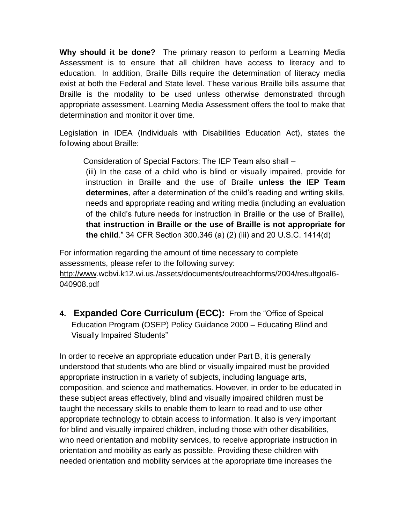**Why should it be done?** The primary reason to perform a Learning Media Assessment is to ensure that all children have access to literacy and to education. In addition, [Braille Bills](http://www.blind.net/alternative-techniques/braille/braille-bills-what-are-they-and-what-do-they-mean.html) require the determination of literacy media exist at both the Federal and State level. These various Braille bills assume that Braille is the modality to be used unless otherwise demonstrated through appropriate assessment. Learning Media Assessment offers the tool to make that determination and monitor it over time.

Legislation in IDEA (Individuals with Disabilities Education Act), states the following about Braille:

Consideration of Special Factors: The IEP Team also shall – (iii) In the case of a child who is blind or visually impaired, provide for instruction in Braille and the use of Braille **unless the IEP Team determines**, after a determination of the child's reading and writing skills, needs and appropriate reading and writing media (including an evaluation of the child's future needs for instruction in Braille or the use of Braille), **that instruction in Braille or the use of Braille is not appropriate for the child**." 34 CFR Section 300.346 (a) (2) (iii) and 20 U.S.C. 1414(d)

For information regarding the amount of time necessary to complete assessments, please refer to the following survey: [http://www.](http://www/)wcbvi.k12.wi.us./assets/documents/outreachforms/2004/resultgoal6- 040908.pdf

**4. Expanded Core Curriculum (ECC):** From the "Office of Speical Education Program (OSEP) Policy Guidance 2000 – Educating Blind and Visually Impaired Students"

In order to receive an appropriate education under Part B, it is generally understood that students who are blind or visually impaired must be provided appropriate instruction in a variety of subjects, including language arts, composition, and science and mathematics. However, in order to be educated in these subject areas effectively, blind and visually impaired children must be taught the necessary skills to enable them to learn to read and to use other appropriate technology to obtain access to information. It also is very important for blind and visually impaired children, including those with other disabilities, who need orientation and mobility services, to receive appropriate instruction in orientation and mobility as early as possible. Providing these children with needed orientation and mobility services at the appropriate time increases the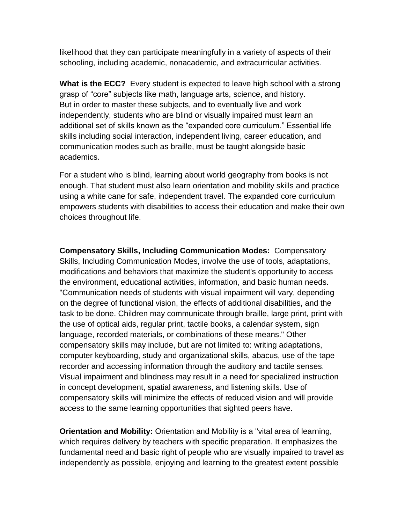likelihood that they can participate meaningfully in a variety of aspects of their schooling, including academic, nonacademic, and extracurricular activities.

**What is the ECC?** Every student is expected to leave high school with a strong grasp of "core" subjects like math, language arts, science, and history. But in order to master these subjects, and to eventually live and work independently, students who are blind or visually impaired must learn an additional set of skills known as the "expanded core curriculum." Essential life skills including social interaction, independent living, career education, and communication modes such as braille, must be taught alongside basic academics.

For a student who is blind, learning about world geography from books is not enough. That student must also learn orientation and mobility skills and practice using a white cane for safe, independent travel. The expanded core curriculum empowers students with disabilities to access their education and make their own choices throughout life.

**Compensatory Skills, Including Communication Modes:** Compensatory Skills, Including Communication Modes, involve the use of tools, adaptations, modifications and behaviors that maximize the student's opportunity to access the environment, educational activities, information, and basic human needs. "Communication needs of students with visual impairment will vary, depending on the degree of functional vision, the effects of additional disabilities, and the task to be done. Children may communicate through braille, large print, print with the use of optical aids, regular print, tactile books, a calendar system, sign language, recorded materials, or combinations of these means." Other compensatory skills may include, but are not limited to: writing adaptations, computer keyboarding, study and organizational skills, abacus, use of the tape recorder and accessing information through the auditory and tactile senses. Visual impairment and blindness may result in a need for specialized instruction in concept development, spatial awareness, and listening skills. Use of compensatory skills will minimize the effects of reduced vision and will provide access to the same learning opportunities that sighted peers have.

**Orientation and Mobility:** Orientation and Mobility is a "vital area of learning, which requires delivery by teachers with specific preparation. It emphasizes the fundamental need and basic right of people who are visually impaired to travel as independently as possible, enjoying and learning to the greatest extent possible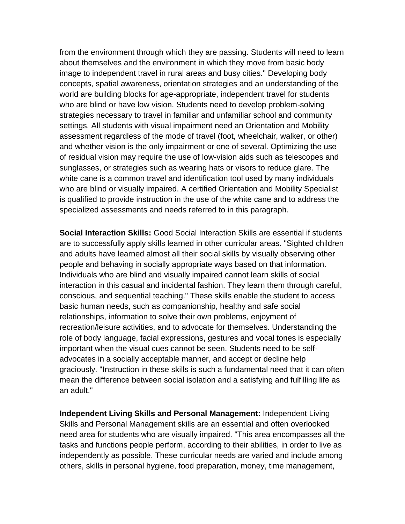from the environment through which they are passing. Students will need to learn about themselves and the environment in which they move from basic body image to independent travel in rural areas and busy cities." Developing body concepts, spatial awareness, orientation strategies and an understanding of the world are building blocks for age-appropriate, independent travel for students who are blind or have low vision. Students need to develop problem-solving strategies necessary to travel in familiar and unfamiliar school and community settings. All students with visual impairment need an Orientation and Mobility assessment regardless of the mode of travel (foot, wheelchair, walker, or other) and whether vision is the only impairment or one of several. Optimizing the use of residual vision may require the use of low-vision aids such as telescopes and sunglasses, or strategies such as wearing hats or visors to reduce glare. The white cane is a common travel and identification tool used by many individuals who are blind or visually impaired. A certified Orientation and Mobility Specialist is qualified to provide instruction in the use of the white cane and to address the specialized assessments and needs referred to in this paragraph.

**Social Interaction Skills:** Good Social Interaction Skills are essential if students are to successfully apply skills learned in other curricular areas. "Sighted children and adults have learned almost all their social skills by visually observing other people and behaving in socially appropriate ways based on that information. Individuals who are blind and visually impaired cannot learn skills of social interaction in this casual and incidental fashion. They learn them through careful, conscious, and sequential teaching." These skills enable the student to access basic human needs, such as companionship, healthy and safe social relationships, information to solve their own problems, enjoyment of recreation/leisure activities, and to advocate for themselves. Understanding the role of body language, facial expressions, gestures and vocal tones is especially important when the visual cues cannot be seen. Students need to be selfadvocates in a socially acceptable manner, and accept or decline help graciously. "Instruction in these skills is such a fundamental need that it can often mean the difference between social isolation and a satisfying and fulfilling life as an adult."

**Independent Living Skills and Personal Management:** Independent Living Skills and Personal Management skills are an essential and often overlooked need area for students who are visually impaired. "This area encompasses all the tasks and functions people perform, according to their abilities, in order to live as independently as possible. These curricular needs are varied and include among others, skills in personal hygiene, food preparation, money, time management,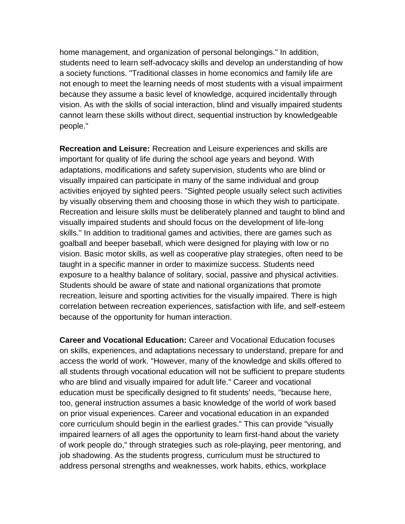home management, and organization of personal belongings." In addition, students need to learn self-advocacy skills and develop an understanding of how a society functions. "Traditional classes in home economics and family life are not enough to meet the learning needs of most students with a visual impairment because they assume a basic level of knowledge, acquired incidentally through vision. As with the skills of social interaction, blind and visually impaired students cannot learn these skills without direct, sequential instruction by knowledgeable people."

**Recreation and Leisure:** Recreation and Leisure experiences and skills are important for quality of life during the school age years and beyond. With adaptations, modifications and safety supervision, students who are blind or visually impaired can participate in many of the same individual and group activities enjoyed by sighted peers. "Sighted people usually select such activities by visually observing them and choosing those in which they wish to participate. Recreation and leisure skills must be deliberately planned and taught to blind and visually impaired students and should focus on the development of life-long skills." In addition to traditional games and activities, there are games such as goalball and beeper baseball, which were designed for playing with low or no vision. Basic motor skills, as well as cooperative play strategies, often need to be taught in a specific manner in order to maximize success. Students need exposure to a healthy balance of solitary, social, passive and physical activities. Students should be aware of state and national organizations that promote recreation, leisure and sporting activities for the visually impaired. There is high correlation between recreation experiences, satisfaction with life, and self-esteem because of the opportunity for human interaction.

**Career and Vocational Education:** Career and Vocational Education focuses on skills, experiences, and adaptations necessary to understand, prepare for and access the world of work. "However, many of the knowledge and skills offered to all students through vocational education will not be sufficient to prepare students who are blind and visually impaired for adult life." Career and vocational education must be specifically designed to fit students' needs, "because here, too, general instruction assumes a basic knowledge of the world of work based on prior visual experiences. Career and vocational education in an expanded core curriculum should begin in the earliest grades." This can provide "visually impaired learners of all ages the opportunity to learn first-hand about the variety of work people do," through strategies such as role-playing, peer mentoring, and job shadowing. As the students progress, curriculum must be structured to address personal strengths and weaknesses, work habits, ethics, workplace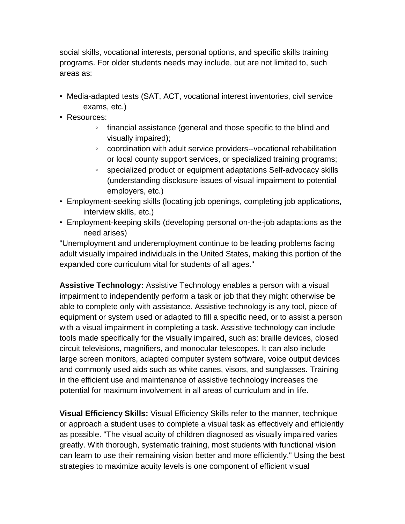social skills, vocational interests, personal options, and specific skills training programs. For older students needs may include, but are not limited to, such areas as:

- Media-adapted tests (SAT, ACT, vocational interest inventories, civil service exams, etc.)
- Resources:
	- financial assistance (general and those specific to the blind and visually impaired);
	- coordination with adult service providers--vocational rehabilitation or local county support services, or specialized training programs;
	- specialized product or equipment adaptations Self-advocacy skills (understanding disclosure issues of visual impairment to potential employers, etc.)
- Employment-seeking skills (locating job openings, completing job applications, interview skills, etc.)
- Employment-keeping skills (developing personal on-the-job adaptations as the need arises)

"Unemployment and underemployment continue to be leading problems facing adult visually impaired individuals in the United States, making this portion of the expanded core curriculum vital for students of all ages."

**Assistive Technology:** Assistive Technology enables a person with a visual impairment to independently perform a task or job that they might otherwise be able to complete only with assistance. Assistive technology is any tool, piece of equipment or system used or adapted to fill a specific need, or to assist a person with a visual impairment in completing a task. Assistive technology can include tools made specifically for the visually impaired, such as: braille devices, closed circuit televisions, magnifiers, and monocular telescopes. It can also include large screen monitors, adapted computer system software, voice output devices and commonly used aids such as white canes, visors, and sunglasses. Training in the efficient use and maintenance of assistive technology increases the potential for maximum involvement in all areas of curriculum and in life.

**Visual Efficiency Skills:** Visual Efficiency Skills refer to the manner, technique or approach a student uses to complete a visual task as effectively and efficiently as possible. "The visual acuity of children diagnosed as visually impaired varies greatly. With thorough, systematic training, most students with functional vision can learn to use their remaining vision better and more efficiently." Using the best strategies to maximize acuity levels is one component of efficient visual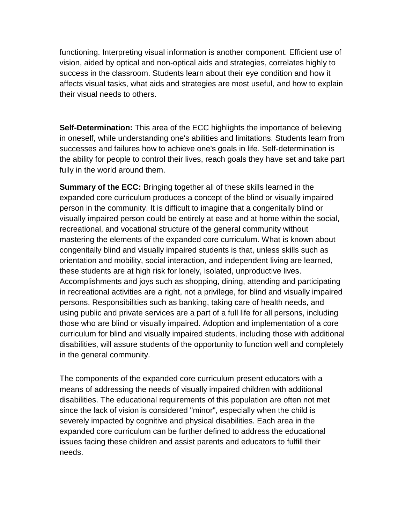functioning. Interpreting visual information is another component. Efficient use of vision, aided by optical and non-optical aids and strategies, correlates highly to success in the classroom. Students learn about their eye condition and how it affects visual tasks, what aids and strategies are most useful, and how to explain their visual needs to others.

**Self-Determination:** This area of the ECC highlights the importance of believing in oneself, while understanding one's abilities and limitations. Students learn from successes and failures how to achieve one's goals in life. Self-determination is the ability for people to control their lives, reach goals they have set and take part fully in the world around them.

**Summary of the ECC:** Bringing together all of these skills learned in the expanded core curriculum produces a concept of the blind or visually impaired person in the community. It is difficult to imagine that a congenitally blind or visually impaired person could be entirely at ease and at home within the social, recreational, and vocational structure of the general community without mastering the elements of the expanded core curriculum. What is known about congenitally blind and visually impaired students is that, unless skills such as orientation and mobility, social interaction, and independent living are learned, these students are at high risk for lonely, isolated, unproductive lives. Accomplishments and joys such as shopping, dining, attending and participating in recreational activities are a right, not a privilege, for blind and visually impaired persons. Responsibilities such as banking, taking care of health needs, and using public and private services are a part of a full life for all persons, including those who are blind or visually impaired. Adoption and implementation of a core curriculum for blind and visually impaired students, including those with additional disabilities, will assure students of the opportunity to function well and completely in the general community.

The components of the expanded core curriculum present educators with a means of addressing the needs of visually impaired children with additional disabilities. The educational requirements of this population are often not met since the lack of vision is considered "minor", especially when the child is severely impacted by cognitive and physical disabilities. Each area in the expanded core curriculum can be further defined to address the educational issues facing these children and assist parents and educators to fulfill their needs.